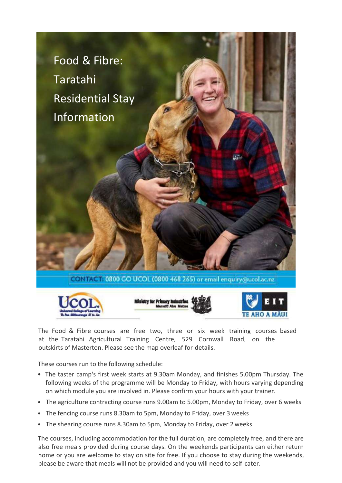

The Food & Fibre courses are free two, three or six week training courses based at the Taratahi Agricultural Training Centre, 529 Cornwall Road, on the outskirts of Masterton. Please see the map overleaf for details.

These courses run to the following schedule:

- The taster camp's first week starts at 9.30am Monday, and finishes 5.00pm Thursday. The following weeks of the programme will be Monday to Friday, with hours varying depending on which module you are involved in. Please confirm your hours with your trainer.
- The agriculture contracting course runs 9.00am to 5.00pm, Monday to Friday, over 6 weeks
- The fencing course runs 8.30am to 5pm, Monday to Friday, over 3 weeks
- The shearing course runs 8.30am to 5pm, Monday to Friday, over 2 weeks

The courses, including accommodation for the full duration, are completely free, and there are also free meals provided during course days. On the weekends participants can either return home or you are welcome to stay on site for free. If you choose to stay during the weekends, please be aware that meals will not be provided and you will need to self-cater.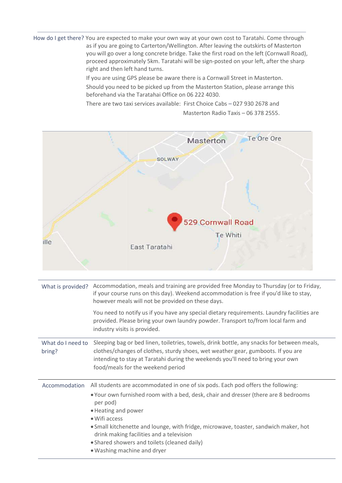How do I get there? You are expected to make your own way at your own cost to Taratahi. Come through as if you are going to Carterton/Wellington. After leaving the outskirts of Masterton you will go over a long concrete bridge. Take the first road on the left (Cornwall Road), proceed approximately 5km. Taratahi will be sign-posted on your left, after the sharp right and then left hand turns.

If you are using GPS please be aware there is a Cornwall Street in Masterton.

Should you need to be picked up from the Masterton Station, please arrange this beforehand via the Taratahai Office on 06 222 4030.

There are two taxi services available: First Choice Cabs – 027 930 2678 and Masterton Radio Taxis – 06 378 2555.



| What is provided?           | Accommodation, meals and training are provided free Monday to Thursday (or to Friday,<br>if your course runs on this day). Weekend accommodation is free if you'd like to stay,<br>however meals will not be provided on these days.                                                                                                                                                                                                           |
|-----------------------------|------------------------------------------------------------------------------------------------------------------------------------------------------------------------------------------------------------------------------------------------------------------------------------------------------------------------------------------------------------------------------------------------------------------------------------------------|
|                             | You need to notify us if you have any special dietary requirements. Laundry facilities are<br>provided. Please bring your own laundry powder. Transport to/from local farm and<br>industry visits is provided.                                                                                                                                                                                                                                 |
| What do I need to<br>bring? | Sleeping bag or bed linen, toiletries, towels, drink bottle, any snacks for between meals,<br>clothes/changes of clothes, sturdy shoes, wet weather gear, gumboots. If you are<br>intending to stay at Taratahi during the weekends you'll need to bring your own<br>food/meals for the weekend period                                                                                                                                         |
| Accommodation               | All students are accommodated in one of six pods. Each pod offers the following:<br>. Your own furnished room with a bed, desk, chair and dresser (there are 8 bedrooms<br>per pod)<br>• Heating and power<br>· Wifi access<br>. Small kitchenette and lounge, with fridge, microwave, toaster, sandwich maker, hot<br>drink making facilities and a television<br>• Shared showers and toilets (cleaned daily)<br>• Washing machine and dryer |

**you are all the second contract of the second contract of the second contract of the second contract of the second**